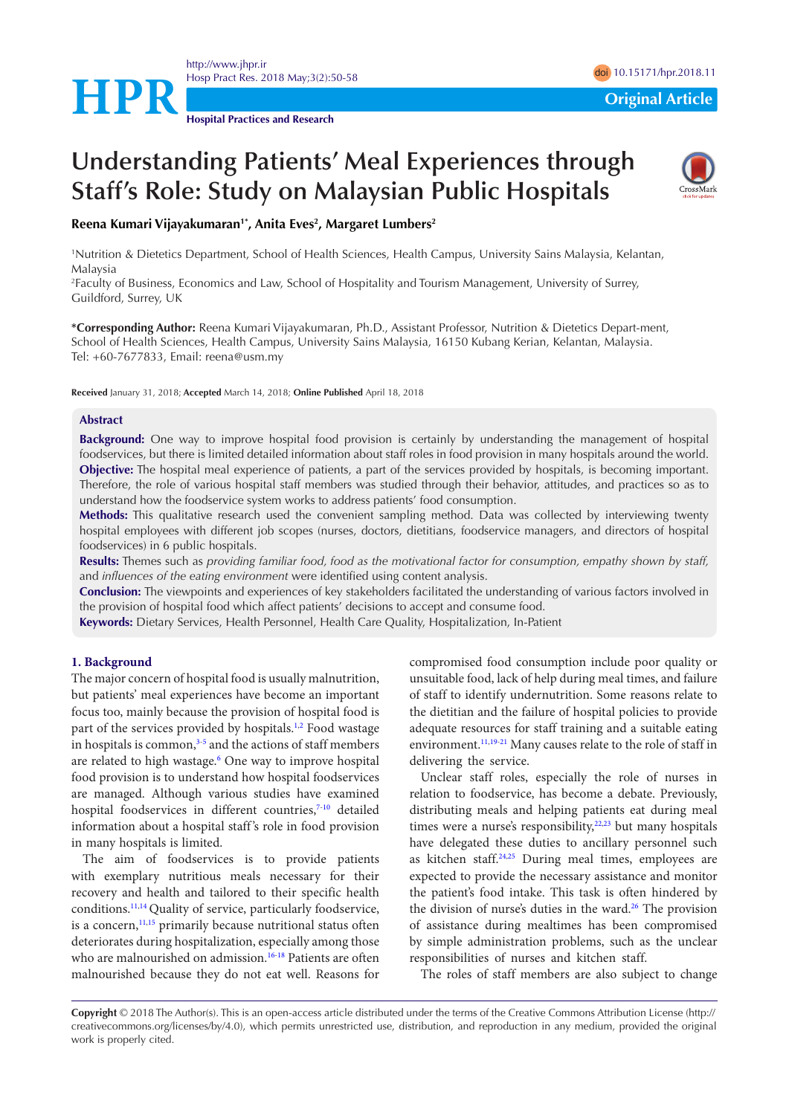

<http://www.jhpr.ir> Hosp Pract Res. 2018 May;3(2):50-58 doi [10.15171/hpr.2018.1](https://doi.org/10.15171/hpr.2018.11)1

**Hospital Practices and Research**

# **Understanding Patients' Meal Experiences through Staff's Role: Study on Malaysian Public Hospitals**



Reena Kumari Vijayakumaran<sup>1\*</sup>, Anita Eves<sup>2</sup>, Margaret Lumbers<sup>2</sup>

1 Nutrition & Dietetics Department, School of Health Sciences, Health Campus, University Sains Malaysia, Kelantan, Malaysia

2 Faculty of Business, Economics and Law, School of Hospitality and Tourism Management, University of Surrey, Guildford, Surrey, UK

**\*Corresponding Author:** Reena Kumari Vijayakumaran, Ph.D., Assistant Professor, Nutrition & Dietetics Depart-ment, School of Health Sciences, Health Campus, University Sains Malaysia, 16150 Kubang Kerian, Kelantan, Malaysia. Tel: +60-7677833, Email: reena@usm.my

**Received** January 31, 2018; **Accepted** March 14, 2018; **Online Published** April 18, 2018

#### **Abstract**

**Background:** One way to improve hospital food provision is certainly by understanding the management of hospital foodservices, but there is limited detailed information about staff roles in food provision in many hospitals around the world. **Objective:** The hospital meal experience of patients, a part of the services provided by hospitals, is becoming important. Therefore, the role of various hospital staff members was studied through their behavior, attitudes, and practices so as to understand how the foodservice system works to address patients' food consumption.

**Methods:** This qualitative research used the convenient sampling method. Data was collected by interviewing twenty hospital employees with different job scopes (nurses, doctors, dietitians, foodservice managers, and directors of hospital foodservices) in 6 public hospitals.

**Results:** Themes such as *providing familiar food, food as the motivational factor for consumption, empathy shown by staff,*  and *influences of the eating environment* were identified using content analysis.

**Conclusion:** The viewpoints and experiences of key stakeholders facilitated the understanding of various factors involved in the provision of hospital food which affect patients' decisions to accept and consume food.

**Keywords:** Dietary Services, Health Personnel, Health Care Quality, Hospitalization, In-Patient

### **1. Background**

The major concern of hospital food is usually malnutrition, but patients' meal experiences have become an important focus too, mainly because the provision of hospital food is part of the services provided by hospitals.<sup>[1,](#page-7-0)[2](#page-7-1)</sup> Food wastage in hospitals is common,<sup>3-[5](#page-7-3)</sup> and the actions of staff members are related to high wastage.<sup>[6](#page-7-4)</sup> One way to improve hospital food provision is to understand how hospital foodservices are managed. Although various studies have examined hospital foodservices in different countries,<sup>[7-](#page-7-5)[10](#page-7-6)</sup> detailed information about a hospital staff 's role in food provision in many hospitals is limited.

The aim of foodservices is to provide patients with exemplary nutritious meals necessary for their recovery and health and tailored to their specific health conditions[.11](#page-7-7)[,14](#page-7-8) Quality of service, particularly foodservice, is a concern, $11,15$  $11,15$  $11,15$  primarily because nutritional status often deteriorates during hospitalization, especially among those who are malnourished on admission.<sup>[16](#page-7-10)[-18](#page-7-11)</sup> Patients are often malnourished because they do not eat well. Reasons for compromised food consumption include poor quality or unsuitable food, lack of help during meal times, and failure of staff to identify undernutrition. Some reasons relate to the dietitian and the failure of hospital policies to provide adequate resources for staff training and a suitable eating environment.<sup>[11](#page-7-7),[19](#page-7-12)[-21](#page-7-13)</sup> Many causes relate to the role of staff in delivering the service.

Unclear staff roles, especially the role of nurses in relation to foodservice, has become a debate. Previously, distributing meals and helping patients eat during meal times were a nurse's responsibility, $22,23$  $22,23$  $22,23$  but many hospitals have delegated these duties to ancillary personnel such as kitchen staff[.24](#page-7-16)[,25](#page-7-17) During meal times, employees are expected to provide the necessary assistance and monitor the patient's food intake. This task is often hindered by the division of nurse's duties in the ward.<sup>26</sup> The provision of assistance during mealtimes has been compromised by simple administration problems, such as the unclear responsibilities of nurses and kitchen staff.

The roles of staff members are also subject to change

**Copyright** © 2018 The Author(s). This is an open-access article distributed under the terms of the Creative Commons Attribution License (http:// creativecommons.org/licenses/by/4.0), which permits unrestricted use, distribution, and reproduction in any medium, provided the original work is properly cited.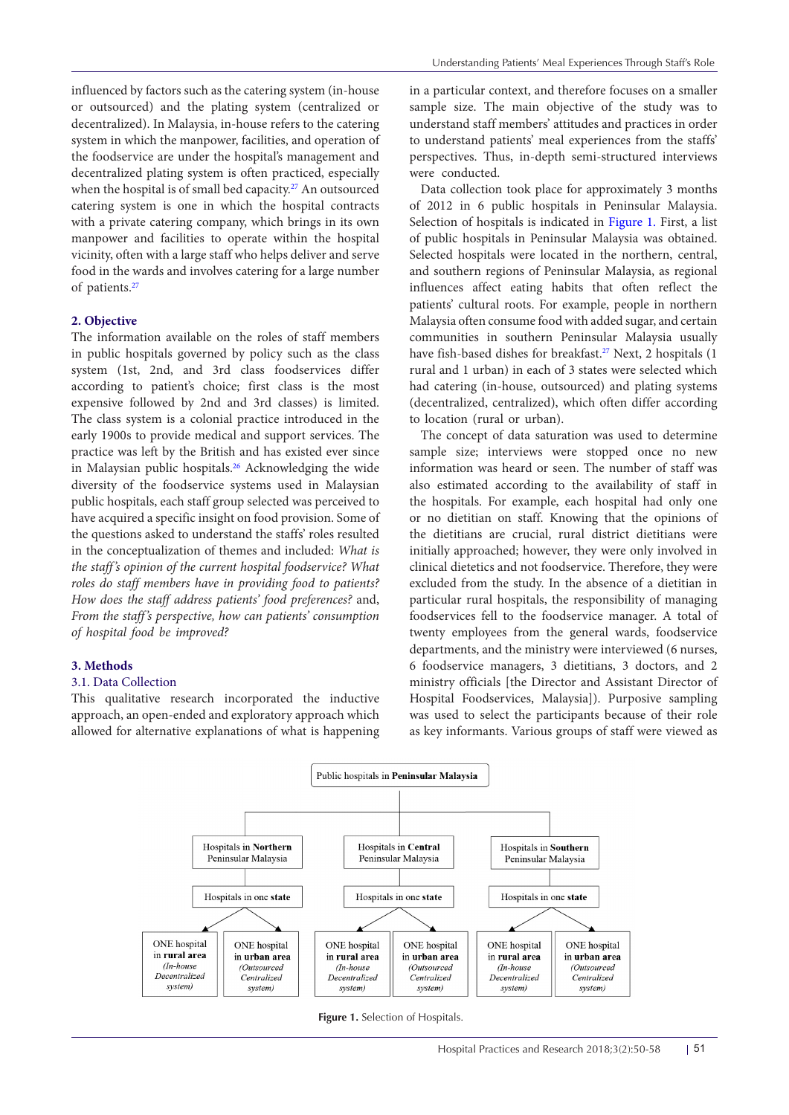influenced by factors such as the catering system (in-house or outsourced) and the plating system (centralized or decentralized). In Malaysia, in-house refers to the catering system in which the manpower, facilities, and operation of the foodservice are under the hospital's management and decentralized plating system is often practiced, especially when the hospital is of small bed capacity.<sup>27</sup> An outsourced catering system is one in which the hospital contracts with a private catering company, which brings in its own manpower and facilities to operate within the hospital vicinity, often with a large staff who helps deliver and serve food in the wards and involves catering for a large number of patients[.27](#page-7-19)

#### **2. Objective**

The information available on the roles of staff members in public hospitals governed by policy such as the class system (1st, 2nd, and 3rd class foodservices differ according to patient's choice; first class is the most expensive followed by 2nd and 3rd classes) is limited. The class system is a colonial practice introduced in the early 1900s to provide medical and support services. The practice was left by the British and has existed ever since in Malaysian public hospitals.<sup>[26](#page-7-18)</sup> Acknowledging the wide diversity of the foodservice systems used in Malaysian public hospitals, each staff group selected was perceived to have acquired a specific insight on food provision. Some of the questions asked to understand the staffs' roles resulted in the conceptualization of themes and included: *What is the staff's opinion of the current hospital foodservice? What roles do staff members have in providing food to patients? How does the staff address patients' food preferences?* and, *From the staff's perspective, how can patients' consumption of hospital food be improved?* 

## **3. Methods**

#### 3.1. Data Collection

This qualitative research incorporated the inductive approach, an open-ended and exploratory approach which allowed for alternative explanations of what is happening in a particular context, and therefore focuses on a smaller sample size. The main objective of the study was to understand staff members' attitudes and practices in order to understand patients' meal experiences from the staffs' perspectives. Thus, in-depth semi-structured interviews were conducted.

Data collection took place for approximately 3 months of 2012 in 6 public hospitals in Peninsular Malaysia. Selection of hospitals is indicated in [Figure 1.](#page-1-0) First, a list of public hospitals in Peninsular Malaysia was obtained. Selected hospitals were located in the northern, central, and southern regions of Peninsular Malaysia, as regional influences affect eating habits that often reflect the patients' cultural roots. For example, people in northern Malaysia often consume food with added sugar, and certain communities in southern Peninsular Malaysia usually have fish-based dishes for breakfast.<sup>[27](#page-7-19)</sup> Next, 2 hospitals (1 rural and 1 urban) in each of 3 states were selected which had catering (in-house, outsourced) and plating systems (decentralized, centralized), which often differ according to location (rural or urban).

The concept of data saturation was used to determine sample size; interviews were stopped once no new information was heard or seen. The number of staff was also estimated according to the availability of staff in the hospitals. For example, each hospital had only one or no dietitian on staff. Knowing that the opinions of the dietitians are crucial, rural district dietitians were initially approached; however, they were only involved in clinical dietetics and not foodservice. Therefore, they were excluded from the study. In the absence of a dietitian in particular rural hospitals, the responsibility of managing foodservices fell to the foodservice manager. A total of twenty employees from the general wards, foodservice departments, and the ministry were interviewed (6 nurses, 6 foodservice managers, 3 dietitians, 3 doctors, and 2 ministry officials [the Director and Assistant Director of Hospital Foodservices, Malaysia]). Purposive sampling was used to select the participants because of their role as key informants. Various groups of staff were viewed as

<span id="page-1-0"></span>

**Figure 1.** Selection of Hospitals.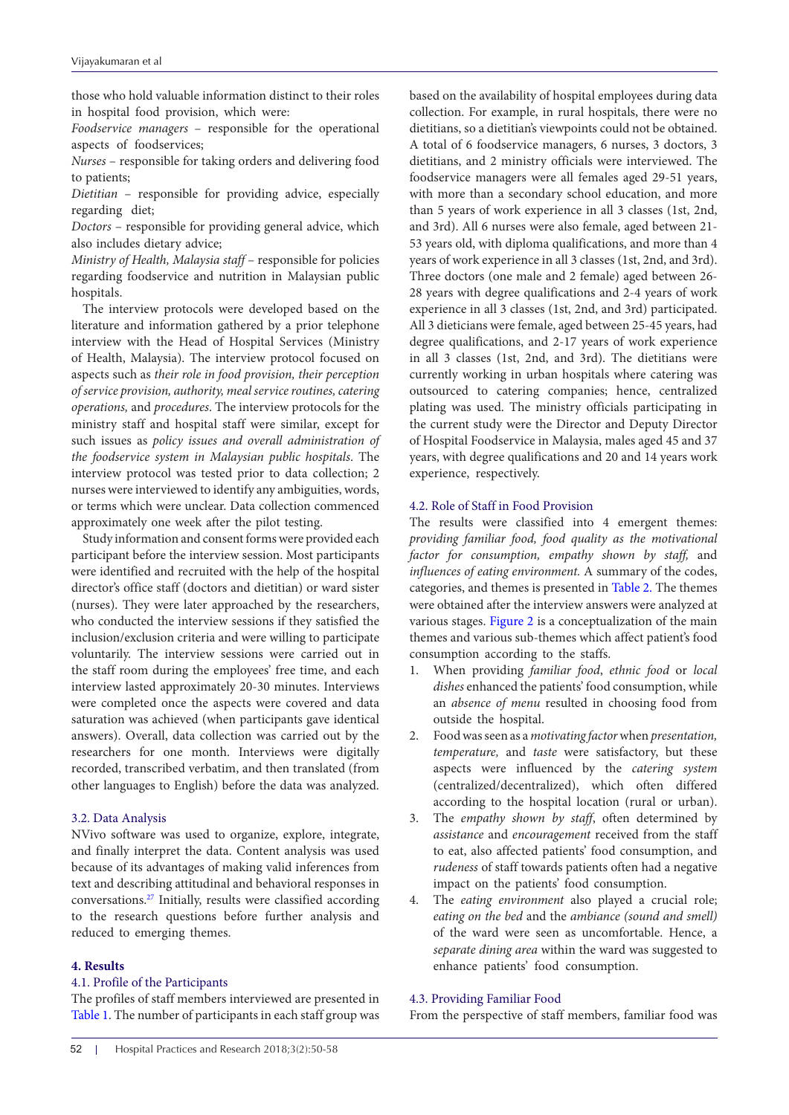those who hold valuable information distinct to their roles in hospital food provision, which were:

*Foodservice managers* – responsible for the operational aspects of foodservices;

*Nurses* – responsible for taking orders and delivering food to patients;

*Dietitian* – responsible for providing advice, especially regarding diet;

*Doctors* – responsible for providing general advice, which also includes dietary advice;

*Ministry of Health, Malaysia staff* – responsible for policies regarding foodservice and nutrition in Malaysian public hospitals.

The interview protocols were developed based on the literature and information gathered by a prior telephone interview with the Head of Hospital Services (Ministry of Health, Malaysia). The interview protocol focused on aspects such as *their role in food provision, their perception of service provision, authority, meal service routines, catering operations,* and *procedures*. The interview protocols for the ministry staff and hospital staff were similar, except for such issues as *policy issues and overall administration of the foodservice system in Malaysian public hospitals*. The interview protocol was tested prior to data collection; 2 nurses were interviewed to identify any ambiguities, words, or terms which were unclear. Data collection commenced approximately one week after the pilot testing.

Study information and consent forms were provided each participant before the interview session. Most participants were identified and recruited with the help of the hospital director's office staff (doctors and dietitian) or ward sister (nurses). They were later approached by the researchers, who conducted the interview sessions if they satisfied the inclusion/exclusion criteria and were willing to participate voluntarily. The interview sessions were carried out in the staff room during the employees' free time, and each interview lasted approximately 20-30 minutes. Interviews were completed once the aspects were covered and data saturation was achieved (when participants gave identical answers). Overall, data collection was carried out by the researchers for one month. Interviews were digitally recorded, transcribed verbatim, and then translated (from other languages to English) before the data was analyzed.

## 3.2. Data Analysis

NVivo software was used to organize, explore, integrate, and finally interpret the data. Content analysis was used because of its advantages of making valid inferences from text and describing attitudinal and behavioral responses in conversations.[27](#page-7-19) Initially, results were classified according to the research questions before further analysis and reduced to emerging themes.

#### **4. Results**

## 4.1. Profile of the Participants

The profiles of staff members interviewed are presented in [Table 1.](#page-3-0) The number of participants in each staff group was based on the availability of hospital employees during data collection. For example, in rural hospitals, there were no dietitians, so a dietitian's viewpoints could not be obtained. A total of 6 foodservice managers, 6 nurses, 3 doctors, 3 dietitians, and 2 ministry officials were interviewed. The foodservice managers were all females aged 29-51 years, with more than a secondary school education, and more than 5 years of work experience in all 3 classes (1st, 2nd, and 3rd). All 6 nurses were also female, aged between 21- 53 years old, with diploma qualifications, and more than 4 years of work experience in all 3 classes (1st, 2nd, and 3rd). Three doctors (one male and 2 female) aged between 26- 28 years with degree qualifications and 2-4 years of work experience in all 3 classes (1st, 2nd, and 3rd) participated. All 3 dieticians were female, aged between 25-45 years, had degree qualifications, and 2-17 years of work experience in all 3 classes (1st, 2nd, and 3rd). The dietitians were currently working in urban hospitals where catering was outsourced to catering companies; hence, centralized plating was used. The ministry officials participating in the current study were the Director and Deputy Director of Hospital Foodservice in Malaysia, males aged 45 and 37 years, with degree qualifications and 20 and 14 years work experience, respectively.

## 4.2. Role of Staff in Food Provision

The results were classified into 4 emergent themes: *providing familiar food, food quality as the motivational factor for consumption, empathy shown by staff,* and *influences of eating environment.* A summary of the codes, categories, and themes is presented in [Table 2.](#page-4-0) The themes were obtained after the interview answers were analyzed at various stages. [Figure 2](#page-3-1) is a conceptualization of the main themes and various sub-themes which affect patient's food consumption according to the staffs.

- 1. When providing *familiar food*, *ethnic food* or *local dishes* enhanced the patients' food consumption, while an *absence of menu* resulted in choosing food from outside the hospital.
- 2. Food was seen as a *motivating factor* when *presentation, temperature,* and *taste* were satisfactory, but these aspects were influenced by the *catering system* (centralized/decentralized), which often differed according to the hospital location (rural or urban).
- 3. The *empathy shown by staff*, often determined by *assistance* and *encouragement* received from the staff to eat, also affected patients' food consumption, and *rudeness* of staff towards patients often had a negative impact on the patients' food consumption.
- 4. The *eating environment* also played a crucial role; *eating on the bed* and the *ambiance (sound and smell)* of the ward were seen as uncomfortable. Hence, a *separate dining area* within the ward was suggested to enhance patients' food consumption.

#### 4.3. Providing Familiar Food

From the perspective of staff members, familiar food was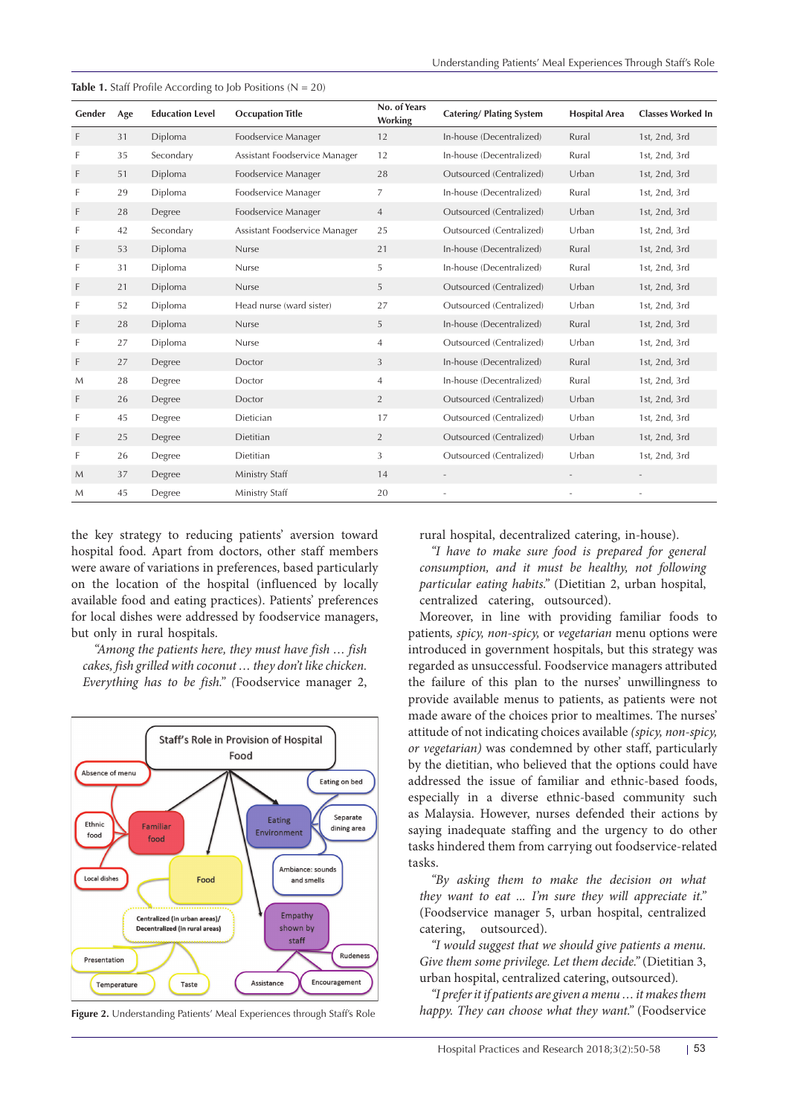| Gender | Age | <b>Education Level</b> | <b>Occupation Title</b>       | No. of Years<br>Working | <b>Catering/Plating System</b> | <b>Hospital Area</b> | <b>Classes Worked In</b> |
|--------|-----|------------------------|-------------------------------|-------------------------|--------------------------------|----------------------|--------------------------|
| F      | 31  | Diploma                | Foodservice Manager           | 12                      | In-house (Decentralized)       | Rural                | 1st, 2nd, 3rd            |
| F      | 35  | Secondary              | Assistant Foodservice Manager | 12                      | In-house (Decentralized)       | Rural                | 1st, 2nd, 3rd            |
| F      | 51  | Diploma                | Foodservice Manager           | 28                      | Outsourced (Centralized)       | Urban                | 1st, 2nd, 3rd            |
| F      | 29  | Diploma                | Foodservice Manager           | 7                       | In-house (Decentralized)       | Rural                | 1st, 2nd, 3rd            |
| F      | 28  | Degree                 | Foodservice Manager           | 4                       | Outsourced (Centralized)       | Urban                | 1st, 2nd, 3rd            |
| F      | 42  | Secondary              | Assistant Foodservice Manager | 25                      | Outsourced (Centralized)       | Urban                | 1st, 2nd, 3rd            |
| F      | 53  | Diploma                | Nurse                         | 21                      | In-house (Decentralized)       | Rural                | 1st, 2nd, 3rd            |
| F      | 31  | Diploma                | Nurse                         | 5                       | In-house (Decentralized)       | Rural                | 1st, 2nd, 3rd            |
| F      | 21  | Diploma                | Nurse                         | 5                       | Outsourced (Centralized)       | Urban                | 1st, 2nd, 3rd            |
| F      | 52  | Diploma                | Head nurse (ward sister)      | 27                      | Outsourced (Centralized)       | Urban                | 1st, 2nd, 3rd            |
| F      | 28  | Diploma                | Nurse                         | 5                       | In-house (Decentralized)       | Rural                | 1st, 2nd, 3rd            |
| F      | 27  | Diploma                | Nurse                         | $\overline{4}$          | Outsourced (Centralized)       | Urban                | 1st, 2nd, 3rd            |
| F      | 27  | Degree                 | Doctor                        | 3                       | In-house (Decentralized)       | Rural                | 1st, 2nd, 3rd            |
| M      | 28  | Degree                 | Doctor                        | $\overline{4}$          | In-house (Decentralized)       | Rural                | 1st, 2nd, 3rd            |
| F      | 26  | Degree                 | Doctor                        | $\overline{2}$          | Outsourced (Centralized)       | Urban                | 1st, 2nd, 3rd            |
| F      | 45  | Degree                 | Dietician                     | 17                      | Outsourced (Centralized)       | Urban                | 1st, 2nd, 3rd            |
| F      | 25  | Degree                 | Dietitian                     | $\overline{2}$          | Outsourced (Centralized)       | Urban                | 1st, 2nd, 3rd            |
| F      | 26  | Degree                 | Dietitian                     | 3                       | Outsourced (Centralized)       | Urban                | 1st, 2nd, 3rd            |
| M      | 37  | Degree                 | Ministry Staff                | 14                      |                                |                      |                          |
| M      | 45  | Degree                 | Ministry Staff                | 20                      | $\sim$                         |                      |                          |

<span id="page-3-0"></span>**Table 1.** Staff Profile According to Job Positions (N = 20)

the key strategy to reducing patients' aversion toward hospital food. Apart from doctors, other staff members were aware of variations in preferences, based particularly on the location of the hospital (influenced by locally available food and eating practices). Patients' preferences for local dishes were addressed by foodservice managers, but only in rural hospitals.

*"Among the patients here, they must have fish … fish cakes, fish grilled with coconut … they don't like chicken. Everything has to be fish." (*Foodservice manager 2,

<span id="page-3-1"></span>

**Figure 2.** Understanding Patients' Meal Experiences through Staff's Role

rural hospital, decentralized catering, in-house).

*"I have to make sure food is prepared for general consumption, and it must be healthy, not following particular eating habits."* (Dietitian 2, urban hospital, centralized catering, outsourced).

Moreover, in line with providing familiar foods to patients*, spicy, non-spicy,* or *vegetarian* menu options were introduced in government hospitals, but this strategy was regarded as unsuccessful. Foodservice managers attributed the failure of this plan to the nurses' unwillingness to provide available menus to patients, as patients were not made aware of the choices prior to mealtimes. The nurses' attitude of not indicating choices available *(spicy, non-spicy, or vegetarian)* was condemned by other staff, particularly by the dietitian, who believed that the options could have addressed the issue of familiar and ethnic-based foods, especially in a diverse ethnic-based community such as Malaysia. However, nurses defended their actions by saying inadequate staffing and the urgency to do other tasks hindered them from carrying out foodservice-related tasks.

*"By asking them to make the decision on what they want to eat ... I'm sure they will appreciate it."*  (Foodservice manager 5, urban hospital, centralized catering, outsourced).

*"I would suggest that we should give patients a menu. Give them some privilege. Let them decide."* (Dietitian 3, urban hospital, centralized catering, outsourced)*.*

*"I prefer it if patients are given a menu … it makes them happy. They can choose what they want."* (Foodservice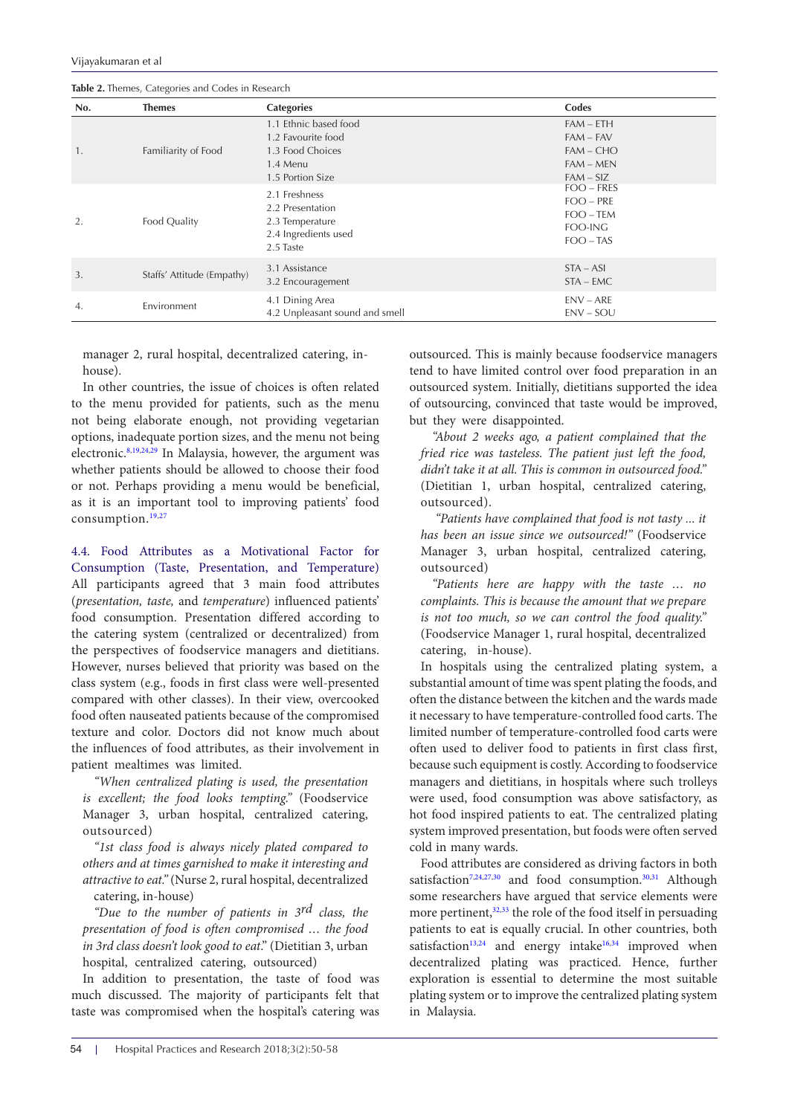<span id="page-4-0"></span>**Table 2.** Themes, Categories and Codes in Research

| No. | <b>Themes</b>              | <b>Categories</b>                                                                               | Codes                                                                 |  |
|-----|----------------------------|-------------------------------------------------------------------------------------------------|-----------------------------------------------------------------------|--|
| 1.  | Familiarity of Food        | 1.1 Ethnic based food<br>1.2 Favourite food<br>1.3 Food Choices<br>1.4 Menu<br>1.5 Portion Size | $FAM - ETH$<br>$FAM - FAV$<br>$FAM - CHO$<br>$FAM - MEN$<br>$FAM-SIZ$ |  |
| 2.  | Food Quality               | 2.1 Freshness<br>2.2 Presentation<br>2.3 Temperature<br>2.4 Ingredients used<br>2.5 Taste       | $FOO - FRES$<br>$FOO - PRE$<br>$FOO - TEM$<br>FOO-ING<br>$FOO - TAS$  |  |
| 3.  | Staffs' Attitude (Empathy) | 3.1 Assistance<br>3.2 Encouragement                                                             | $STA - ASI$<br>$STA$ – $EMC$                                          |  |
| 4.  | Environment                | 4.1 Dining Area<br>4.2 Unpleasant sound and smell                                               | $ENV - ARE$<br>$ENV - SOU$                                            |  |

manager 2, rural hospital, decentralized catering, inhouse).

In other countries, the issue of choices is often related to the menu provided for patients, such as the menu not being elaborate enough, not providing vegetarian options, inadequate portion sizes, and the menu not being electronic.[8](#page-7-20),[19](#page-7-12),[24](#page-7-16)[,29](#page-7-21) In Malaysia, however, the argument was whether patients should be allowed to choose their food or not. Perhaps providing a menu would be beneficial, as it is an important tool to improving patients' food consumption.[19,](#page-7-12)[27](#page-7-19)

4.4. Food Attributes as a Motivational Factor for Consumption (Taste, Presentation, and Temperature) All participants agreed that 3 main food attributes (*presentation, taste,* and *temperature*) influenced patients' food consumption. Presentation differed according to the catering system (centralized or decentralized) from the perspectives of foodservice managers and dietitians. However, nurses believed that priority was based on the class system (e.g., foods in first class were well-presented compared with other classes). In their view, overcooked food often nauseated patients because of the compromised texture and color. Doctors did not know much about the influences of food attributes, as their involvement in patient mealtimes was limited.

*"When centralized plating is used, the presentation is excellent; the food looks tempting."* (Foodservice Manager 3, urban hospital, centralized catering, outsourced)

*"1st class food is always nicely plated compared to others and at times garnished to make it interesting and attractive to eat."* (Nurse 2, rural hospital, decentralized catering, in-house)

*"Due to the number of patients in 3rd class, the presentation of food is often compromised … the food in 3rd class doesn't look good to eat*." (Dietitian 3, urban hospital, centralized catering, outsourced)

In addition to presentation, the taste of food was much discussed. The majority of participants felt that taste was compromised when the hospital's catering was outsourced. This is mainly because foodservice managers tend to have limited control over food preparation in an outsourced system. Initially, dietitians supported the idea of outsourcing, convinced that taste would be improved, but they were disappointed.

*"About 2 weeks ago, a patient complained that the fried rice was tasteless. The patient just left the food, didn't take it at all. This is common in outsourced food."*  (Dietitian 1, urban hospital, centralized catering, outsourced).

 *"Patients have complained that food is not tasty ... it has been an issue since we outsourced!"* (Foodservice Manager 3, urban hospital, centralized catering, outsourced)

*"Patients here are happy with the taste … no complaints. This is because the amount that we prepare is not too much, so we can control the food quality."*  (Foodservice Manager 1, rural hospital, decentralized catering, in-house).

In hospitals using the centralized plating system, a substantial amount of time was spent plating the foods, and often the distance between the kitchen and the wards made it necessary to have temperature-controlled food carts. The limited number of temperature-controlled food carts were often used to deliver food to patients in first class first, because such equipment is costly. According to foodservice managers and dietitians, in hospitals where such trolleys were used, food consumption was above satisfactory, as hot food inspired patients to eat. The centralized plating system improved presentation, but foods were often served cold in many wards.

Food attributes are considered as driving factors in both satisfaction<sup>7[,24](#page-7-16)[,27](#page-7-19),[30](#page-7-22)</sup> and food consumption.<sup>30,[31](#page-7-23)</sup> Although some researchers have argued that service elements were more pertinent,<sup>[32](#page-8-0),[33](#page-8-1)</sup> the role of the food itself in persuading patients to eat is equally crucial. In other countries, both satisfaction<sup>13,24</sup> and energy intake<sup>16[,34](#page-8-2)</sup> improved when decentralized plating was practiced. Hence, further exploration is essential to determine the most suitable plating system or to improve the centralized plating system in Malaysia.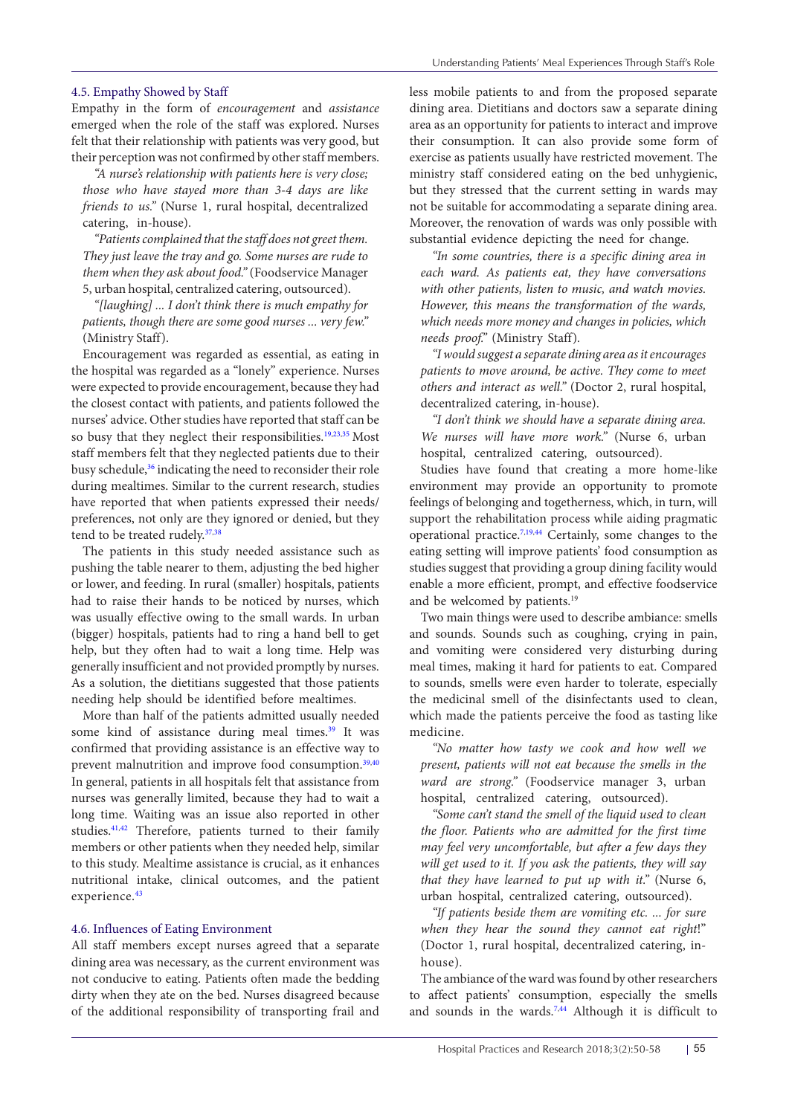### 4.5. Empathy Showed by Staff

Empathy in the form of *encouragement* and *assistance*  emerged when the role of the staff was explored. Nurses felt that their relationship with patients was very good, but their perception was not confirmed by other staff members.

*"A nurse's relationship with patients here is very close; those who have stayed more than 3-4 days are like friends to us."* (Nurse 1, rural hospital, decentralized catering, in-house).

*"Patients complained that the staff does not greet them. They just leave the tray and go. Some nurses are rude to them when they ask about food."* (Foodservice Manager 5, urban hospital, centralized catering, outsourced).

*"[laughing] ... I don't think there is much empathy for patients, though there are some good nurses ... very few."*  (Ministry Staff).

Encouragement was regarded as essential, as eating in the hospital was regarded as a "lonely" experience. Nurses were expected to provide encouragement, because they had the closest contact with patients, and patients followed the nurses' advice. Other studies have reported that staff can be so busy that they neglect their responsibilities.<sup>19[,23](#page-7-15)[,35](#page-8-3)</sup> Most staff members felt that they neglected patients due to their busy schedule,<sup>36</sup> indicating the need to reconsider their role during mealtimes. Similar to the current research, studies have reported that when patients expressed their needs/ preferences, not only are they ignored or denied, but they tend to be treated rudely.<sup>[37](#page-8-5),[38](#page-8-6)</sup>

The patients in this study needed assistance such as pushing the table nearer to them, adjusting the bed higher or lower, and feeding. In rural (smaller) hospitals, patients had to raise their hands to be noticed by nurses, which was usually effective owing to the small wards. In urban (bigger) hospitals, patients had to ring a hand bell to get help, but they often had to wait a long time. Help was generally insufficient and not provided promptly by nurses. As a solution, the dietitians suggested that those patients needing help should be identified before mealtimes.

More than half of the patients admitted usually needed some kind of assistance during meal times.<sup>[39](#page-8-7)</sup> It was confirmed that providing assistance is an effective way to prevent malnutrition and improve food consumption.<sup>[39](#page-8-7),[40](#page-8-8)</sup> In general, patients in all hospitals felt that assistance from nurses was generally limited, because they had to wait a long time. Waiting was an issue also reported in other studies.[41](#page-8-9),[42](#page-8-10) Therefore, patients turned to their family members or other patients when they needed help, similar to this study. Mealtime assistance is crucial, as it enhances nutritional intake, clinical outcomes, and the patient experience.<sup>[43](#page-8-11)</sup>

#### 4.6. Influences of Eating Environment

All staff members except nurses agreed that a separate dining area was necessary, as the current environment was not conducive to eating. Patients often made the bedding dirty when they ate on the bed. Nurses disagreed because of the additional responsibility of transporting frail and less mobile patients to and from the proposed separate dining area. Dietitians and doctors saw a separate dining area as an opportunity for patients to interact and improve their consumption. It can also provide some form of exercise as patients usually have restricted movement. The ministry staff considered eating on the bed unhygienic, but they stressed that the current setting in wards may not be suitable for accommodating a separate dining area. Moreover, the renovation of wards was only possible with substantial evidence depicting the need for change.

*"In some countries, there is a specific dining area in each ward. As patients eat, they have conversations with other patients, listen to music, and watch movies. However, this means the transformation of the wards, which needs more money and changes in policies, which needs proof."* (Ministry Staff)*.*

*"I would suggest a separate dining area as it encourages patients to move around, be active. They come to meet others and interact as well."* (Doctor 2, rural hospital, decentralized catering, in-house).

*"I don't think we should have a separate dining area. We nurses will have more work."* (Nurse 6, urban hospital, centralized catering, outsourced).

Studies have found that creating a more home-like environment may provide an opportunity to promote feelings of belonging and togetherness, which, in turn, will support the rehabilitation process while aiding pragmatic operational practice.[7](#page-7-5),[19](#page-7-12),[44](#page-8-12) Certainly, some changes to the eating setting will improve patients' food consumption as studies suggest that providing a group dining facility would enable a more efficient, prompt, and effective foodservice and be welcomed by patients.<sup>19</sup>

Two main things were used to describe ambiance: smells and sounds. Sounds such as coughing, crying in pain, and vomiting were considered very disturbing during meal times, making it hard for patients to eat. Compared to sounds, smells were even harder to tolerate, especially the medicinal smell of the disinfectants used to clean, which made the patients perceive the food as tasting like medicine.

*"No matter how tasty we cook and how well we present, patients will not eat because the smells in the ward are strong."* (Foodservice manager 3, urban hospital, centralized catering, outsourced).

*"Some can't stand the smell of the liquid used to clean the floor. Patients who are admitted for the first time may feel very uncomfortable, but after a few days they will get used to it. If you ask the patients, they will say that they have learned to put up with it."* (Nurse 6, urban hospital, centralized catering, outsourced).

*"If patients beside them are vomiting etc. ... for sure when they hear the sound they cannot eat right*!" (Doctor 1, rural hospital, decentralized catering, inhouse)*.*

The ambiance of the ward was found by other researchers to affect patients' consumption, especially the smells and sounds in the wards.<sup>7,44</sup> Although it is difficult to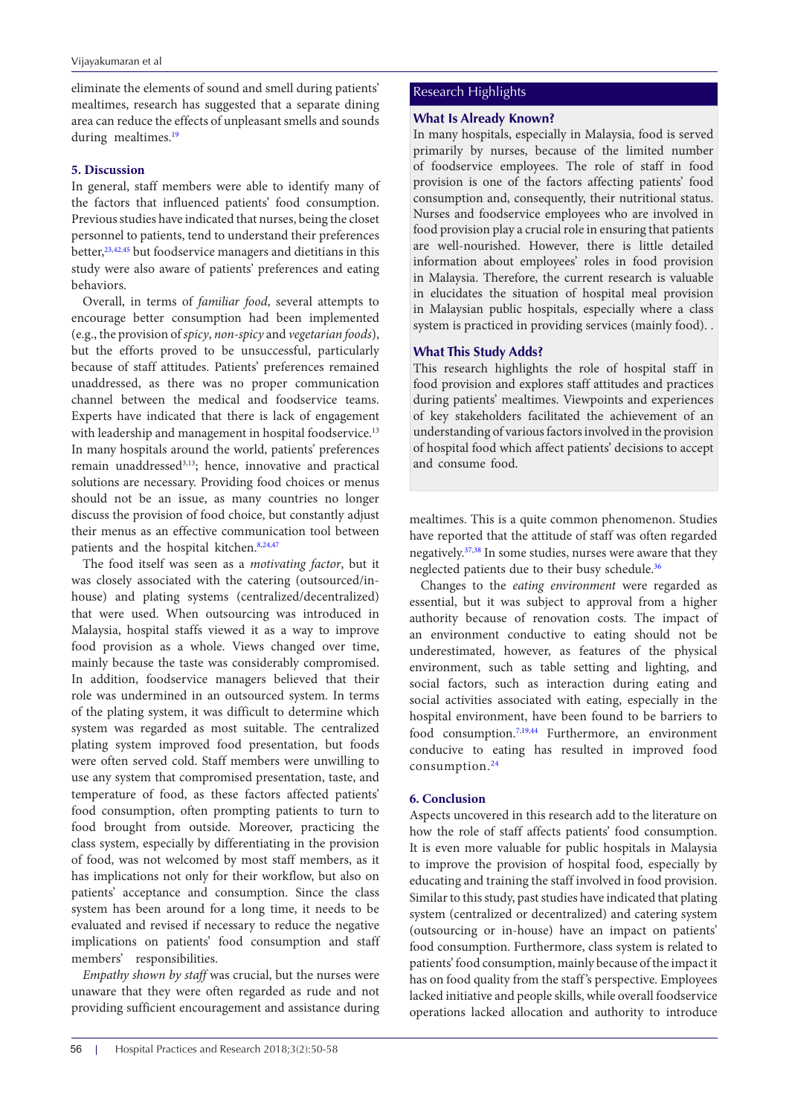eliminate the elements of sound and smell during patients' mealtimes, research has suggested that a separate dining area can reduce the effects of unpleasant smells and sounds during mealtimes.<sup>19</sup>

### **5. Discussion**

In general, staff members were able to identify many of the factors that influenced patients' food consumption. Previous studies have indicated that nurses, being the closet personnel to patients, tend to understand their preferences better,<sup>[23](#page-7-15),[42](#page-8-10),[45](#page-8-13)</sup> but foodservice managers and dietitians in this study were also aware of patients' preferences and eating behaviors.

Overall, in terms of *familiar food*, several attempts to encourage better consumption had been implemented (e.g., the provision of *spicy*, *non-spicy* and *vegetarian foods*), but the efforts proved to be unsuccessful, particularly because of staff attitudes. Patients' preferences remained unaddressed, as there was no proper communication channel between the medical and foodservice teams. Experts have indicated that there is lack of engagement with leadership and management in hospital foodservice.<sup>13</sup> In many hospitals around the world, patients' preferences remain unaddressed3,13; hence, innovative and practical solutions are necessary. Providing food choices or menus should not be an issue, as many countries no longer discuss the provision of food choice, but constantly adjust their menus as an effective communication tool between patients and the hospital kitchen.<sup>8,[24,](#page-7-16)[47](#page-7-5)</sup>

The food itself was seen as a *motivating factor*, but it was closely associated with the catering (outsourced/inhouse) and plating systems (centralized/decentralized) that were used. When outsourcing was introduced in Malaysia, hospital staffs viewed it as a way to improve food provision as a whole. Views changed over time, mainly because the taste was considerably compromised. In addition, foodservice managers believed that their role was undermined in an outsourced system. In terms of the plating system, it was difficult to determine which system was regarded as most suitable. The centralized plating system improved food presentation, but foods were often served cold. Staff members were unwilling to use any system that compromised presentation, taste, and temperature of food, as these factors affected patients' food consumption, often prompting patients to turn to food brought from outside. Moreover, practicing the class system, especially by differentiating in the provision of food, was not welcomed by most staff members, as it has implications not only for their workflow, but also on patients' acceptance and consumption. Since the class system has been around for a long time, it needs to be evaluated and revised if necessary to reduce the negative implications on patients' food consumption and staff members' responsibilities.

*Empathy shown by staff* was crucial, but the nurses were unaware that they were often regarded as rude and not providing sufficient encouragement and assistance during

## Research Highlights

## **What Is Already Known?**

In many hospitals, especially in Malaysia, food is served primarily by nurses, because of the limited number of foodservice employees. The role of staff in food provision is one of the factors affecting patients' food consumption and, consequently, their nutritional status. Nurses and foodservice employees who are involved in food provision play a crucial role in ensuring that patients are well-nourished. However, there is little detailed information about employees' roles in food provision in Malaysia. Therefore, the current research is valuable in elucidates the situation of hospital meal provision in Malaysian public hospitals, especially where a class system is practiced in providing services (mainly food). .

## **What This Study Adds?**

This research highlights the role of hospital staff in food provision and explores staff attitudes and practices during patients' mealtimes. Viewpoints and experiences of key stakeholders facilitated the achievement of an understanding of various factors involved in the provision of hospital food which affect patients' decisions to accept and consume food.

mealtimes. This is a quite common phenomenon. Studies have reported that the attitude of staff was often regarded negatively.[37](#page-8-5),[38](#page-8-6) In some studies, nurses were aware that they neglected patients due to their busy schedule.<sup>[36](#page-8-4)</sup>

Changes to the *eating environment* were regarded as essential, but it was subject to approval from a higher authority because of renovation costs. The impact of an environment conductive to eating should not be underestimated, however, as features of the physical environment, such as table setting and lighting, and social factors, such as interaction during eating and social activities associated with eating, especially in the hospital environment, have been found to be barriers to food consumption[.7](#page-7-5),[19](#page-7-12)[,44](#page-8-12) Furthermore, an environment conducive to eating has resulted in improved food consumption.[24](#page-7-16)

#### **6. Conclusion**

Aspects uncovered in this research add to the literature on how the role of staff affects patients' food consumption. It is even more valuable for public hospitals in Malaysia to improve the provision of hospital food, especially by educating and training the staff involved in food provision. Similar to this study, past studies have indicated that plating system (centralized or decentralized) and catering system (outsourcing or in-house) have an impact on patients' food consumption. Furthermore, class system is related to patients' food consumption, mainly because of the impact it has on food quality from the staff's perspective. Employees lacked initiative and people skills, while overall foodservice operations lacked allocation and authority to introduce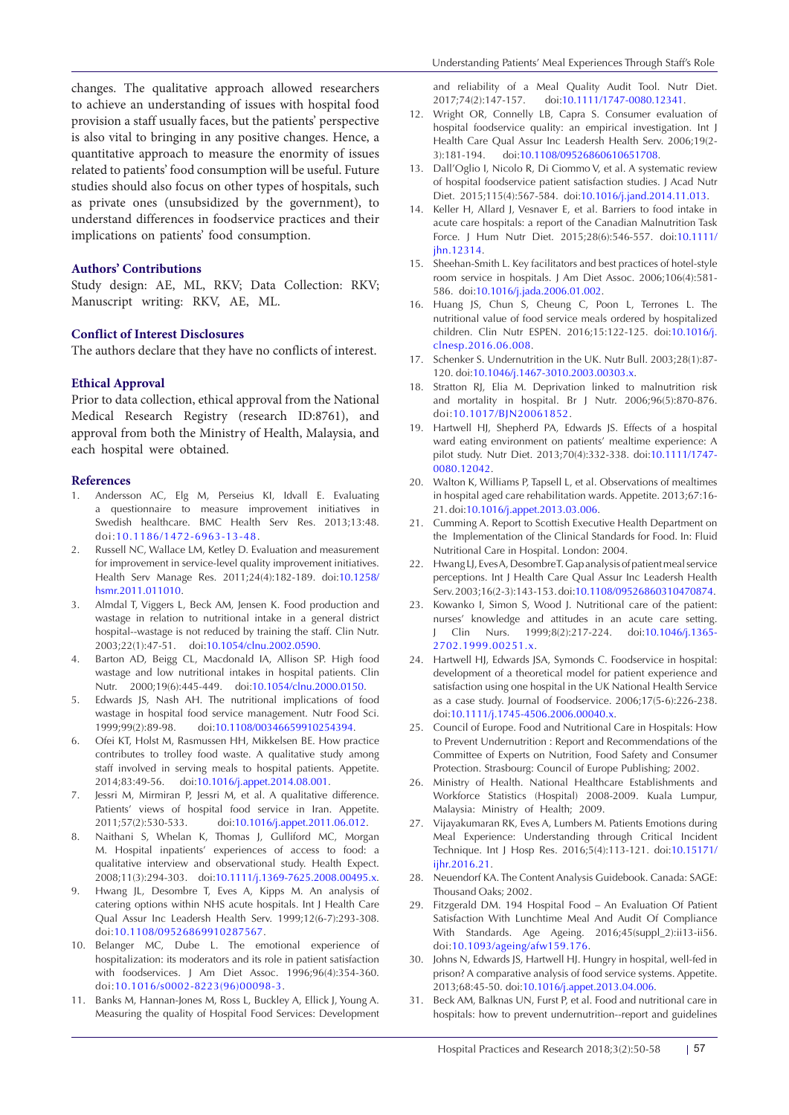changes. The qualitative approach allowed researchers to achieve an understanding of issues with hospital food provision a staff usually faces, but the patients' perspective is also vital to bringing in any positive changes. Hence, a quantitative approach to measure the enormity of issues related to patients' food consumption will be useful. Future studies should also focus on other types of hospitals, such as private ones (unsubsidized by the government), to understand differences in foodservice practices and their implications on patients' food consumption.

## **Authors' Contributions**

Study design: AE, ML, RKV; Data Collection: RKV; Manuscript writing: RKV, AE, ML.

#### **Conflict of Interest Disclosures**

The authors declare that they have no conflicts of interest.

#### **Ethical Approval**

Prior to data collection, ethical approval from the National Medical Research Registry (research ID:8761), and approval from both the Ministry of Health, Malaysia, and each hospital were obtained.

#### **References**

- <span id="page-7-0"></span>1. Andersson AC, Elg M, Perseius KI, Idvall E. Evaluating a questionnaire to measure improvement initiatives in Swedish healthcare. BMC Health Serv Res. 2013;13:48. doi:10.1186/1472-6963-13-48.
- <span id="page-7-1"></span>2. Russell NC, Wallace LM, Ketley D. Evaluation and measurement for improvement in service-level quality improvement initiatives. Health Serv Manage Res. 2011;24(4):182-189. doi:[10.1258/](https://doi.org/10.1258/hsmr.2011.011010) [hsmr.2011.011010.](https://doi.org/10.1258/hsmr.2011.011010)
- <span id="page-7-2"></span>3. Almdal T, Viggers L, Beck AM, Jensen K. Food production and wastage in relation to nutritional intake in a general district hospital--wastage is not reduced by training the staff. Clin Nutr. 2003;22(1):47-51. doi:[10.1054/clnu.2002.0590.](https://doi.org/10.1054/clnu.2002.0590)
- 4. Barton AD, Beigg CL, Macdonald IA, Allison SP. High food wastage and low nutritional intakes in hospital patients. Clin Nutr. 2000;19(6):445-449. doi[:10.1054/clnu.2000.0150.](https://doi.org/10.1054/clnu.2000.0150)
- <span id="page-7-3"></span>5. Edwards JS, Nash AH. The nutritional implications of food wastage in hospital food service management. Nutr Food Sci. 1999;99(2):89-98. doi[:10.1108/00346659910254394.](https://doi.org/10.1108/00346659910254394)
- <span id="page-7-4"></span>6. Ofei KT, Holst M, Rasmussen HH, Mikkelsen BE. How practice contributes to trolley food waste. A qualitative study among staff involved in serving meals to hospital patients. Appetite. 2014;83:49-56. doi:[10.1016/j.appet.2014.08.001.](https://doi.org/10.1016/j.appet.2014.08.001)
- <span id="page-7-5"></span>7. Jessri M, Mirmiran P, Jessri M, et al. A qualitative difference. Patients' views of hospital food service in Iran. Appetite. 2011;57(2):530-533. doi[:10.1016/j.appet.2011.06.012](https://doi.org/10.1016/j.appet.2011.06.012).
- <span id="page-7-20"></span>8. Naithani S, Whelan K, Thomas J, Gulliford MC, Morgan M. Hospital inpatients' experiences of access to food: a qualitative interview and observational study. Health Expect. 2008;11(3):294-303. doi:[10.1111/j.1369-7625.2008.00495.x](https://doi.org/10.1111/j.1369-7625.2008.00495.x).
- 9. Hwang JL, Desombre T, Eves A, Kipps M. An analysis of catering options within NHS acute hospitals. Int J Health Care Qual Assur Inc Leadersh Health Serv. 1999;12(6-7):293-308. doi:[10.1108/09526869910287567.](https://doi.org/10.1108/09526869910287567)
- <span id="page-7-6"></span>10. Belanger MC, Dube L. The emotional experience of hospitalization: its moderators and its role in patient satisfaction with foodservices. J Am Diet Assoc. 1996;96(4):354-360. doi:[10.1016/s0002-8223\(96\)00098-3.](https://doi.org/10.1016/s0002-8223(96)00098-3)
- <span id="page-7-7"></span>11. Banks M, Hannan-Jones M, Ross L, Buckley A, Ellick J, Young A. Measuring the quality of Hospital Food Services: Development

and reliability of a Meal Quality Audit Tool. Nutr Diet. 2017;74(2):147-157. doi[:10.1111/1747-0080.12341.](https://doi.org/10.1111/1747-0080.12341)

- 12. Wright OR, Connelly LB, Capra S. Consumer evaluation of hospital foodservice quality: an empirical investigation. Int J Health Care Qual Assur Inc Leadersh Health Serv. 2006;19(2- 3):181-194. doi[:10.1108/09526860610651708.](https://doi.org/10.1108/09526860610651708)
- <span id="page-7-24"></span>13. Dall'Oglio I, Nicolo R, Di Ciommo V, et al. A systematic review of hospital foodservice patient satisfaction studies. J Acad Nutr Diet. 2015;115(4):567-584. doi[:10.1016/j.jand.2014.11.013](https://doi.org/10.1016/j.jand.2014.11.013).
- <span id="page-7-8"></span>14. Keller H, Allard J, Vesnaver E, et al. Barriers to food intake in acute care hospitals: a report of the Canadian Malnutrition Task Force. J Hum Nutr Diet. 2015;28(6):546-557. doi[:10.1111/](https://doi.org/10.1111/jhn.12314) [jhn.12314.](https://doi.org/10.1111/jhn.12314)
- <span id="page-7-9"></span>15. Sheehan-Smith L. Key facilitators and best practices of hotel-style room service in hospitals. J Am Diet Assoc. 2006;106(4):581- 586. doi[:10.1016/j.jada.2006.01.002.](https://doi.org/10.1016/j.jada.2006.01.002)
- <span id="page-7-10"></span>16. Huang JS, Chun S, Cheung C, Poon L, Terrones L. The nutritional value of food service meals ordered by hospitalized children. Clin Nutr ESPEN. 2016;15:122-125. doi:[10.1016/j.](https://doi.org/10.1016/j.clnesp.2016.06.008) [clnesp.2016.06.008.](https://doi.org/10.1016/j.clnesp.2016.06.008)
- 17. Schenker S. Undernutrition in the UK. Nutr Bull. 2003;28(1):87- 120. doi[:10.1046/j.1467-3010.2003.00303.x](https://doi.org/10.1046/j.1467-3010.2003.00303.x).
- <span id="page-7-11"></span>18. Stratton RJ, Elia M. Deprivation linked to malnutrition risk and mortality in hospital. Br J Nutr. 2006;96(5):870-876. doi:[10.1017/BJN20061852.](https://doi.org/10.1017/BJN20061852)
- <span id="page-7-12"></span>19. Hartwell HJ, Shepherd PA, Edwards JS. Effects of a hospital ward eating environment on patients' mealtime experience: A pilot study. Nutr Diet. 2013;70(4):332-338. doi[:10.1111/1747-](https://doi.org/10.1111/1747-0080.12042) [0080.12042](https://doi.org/10.1111/1747-0080.12042).
- 20. Walton K, Williams P, Tapsell L, et al. Observations of mealtimes in hospital aged care rehabilitation wards. Appetite. 2013;67:16- 21. doi:[10.1016/j.appet.2013.03.006.](https://doi.org/10.1016/j.appet.2013.03.006)
- <span id="page-7-13"></span>21. Cumming A. Report to Scottish Executive Health Department on the Implementation of the Clinical Standards for Food. In: Fluid Nutritional Care in Hospital. London: 2004.
- <span id="page-7-14"></span>22. Hwang LJ, Eves A, Desombre T. Gap analysis of patient meal service perceptions. Int J Health Care Qual Assur Inc Leadersh Health Serv. 2003;16(2-3):143-153. doi[:10.1108/09526860310470874](https://doi.org/10.1108/09526860310470874).
- <span id="page-7-15"></span>23. Kowanko I, Simon S, Wood J. Nutritional care of the patient: nurses' knowledge and attitudes in an acute care setting. J Clin Nurs. 1999;8(2):217-224. doi:[10.1046/j.1365-](https://doi.org/10.1046/j.1365-2702.1999.00251.x) [2702.1999.00251.x](https://doi.org/10.1046/j.1365-2702.1999.00251.x).
- <span id="page-7-16"></span>24. Hartwell HJ, Edwards JSA, Symonds C. Foodservice in hospital: development of a theoretical model for patient experience and satisfaction using one hospital in the UK National Health Service as a case study. Journal of Foodservice. 2006;17(5‐6):226-238. doi[:10.1111/j.1745-4506.2006.00040.x](https://doi.org/10.1111/j.1745-4506.2006.00040.x).
- <span id="page-7-17"></span>25. Council of Europe. Food and Nutritional Care in Hospitals: How to Prevent Undernutrition : Report and Recommendations of the Committee of Experts on Nutrition, Food Safety and Consumer Protection. Strasbourg: Council of Europe Publishing; 2002.
- <span id="page-7-18"></span>26. Ministry of Health. National Healthcare Establishments and Workforce Statistics (Hospital) 2008-2009. Kuala Lumpur, Malaysia: Ministry of Health; 2009.
- <span id="page-7-19"></span>27. Vijayakumaran RK, Eves A, Lumbers M. Patients Emotions during Meal Experience: Understanding through Critical Incident Technique. Int J Hosp Res. 2016;5(4):113-121. doi:[10.15171/](https://doi.org/10.15171/ijhr.2016.21) [ijhr.2016.21](https://doi.org/10.15171/ijhr.2016.21).
- 28. Neuendorf KA. The Content Analysis Guidebook. Canada: SAGE: Thousand Oaks; 2002.
- <span id="page-7-21"></span>29. Fitzgerald DM. 194 Hospital Food – An Evaluation Of Patient Satisfaction With Lunchtime Meal And Audit Of Compliance With Standards. Age Ageing. 2016;45(suppl\_2):ii13-ii56. doi:[10.1093/ageing/afw159.176.](https://doi.org/10.1093/ageing/afw159.176)
- <span id="page-7-22"></span>30. Johns N, Edwards JS, Hartwell HJ. Hungry in hospital, well-fed in prison? A comparative analysis of food service systems. Appetite. 2013;68:45-50. doi:[10.1016/j.appet.2013.04.006](https://doi.org/10.1016/j.appet.2013.04.006).
- <span id="page-7-23"></span>31. Beck AM, Balknas UN, Furst P, et al. Food and nutritional care in hospitals: how to prevent undernutrition--report and guidelines